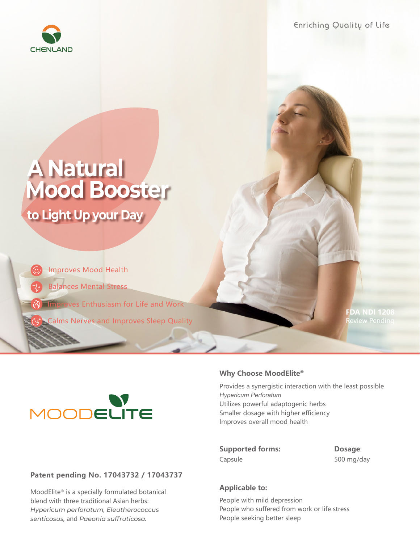

Enriching Quality of Life

# **A Natural Mood Booster to Light Up your Day**

Balances Mental Stress Improves Enthusiasm for Life and Work Improves Mood Health

Calms Nerves and Improves Sleep Quality

**FDA NDI 1208**



## **Patent pending No. 17043732 / 17043737**

MoodElite® is a specially formulated botanical blend with three traditional Asian herbs: *Hypericum perforatum, Eleutherococcus senticosus,* and *Paeonia suffruticosa.*

### **Why Choose MoodElite®**

Provides a synergistic interaction with the least possible *Hypericum Perforatum* Utilizes powerful adaptogenic herbs Smaller dosage with higher efficiency Improves overall mood health

**Supported forms: Dosage**: Capsule 500 mg/day

### **Applicable to:**

People with mild depression People who suffered from work or life stress People seeking better sleep